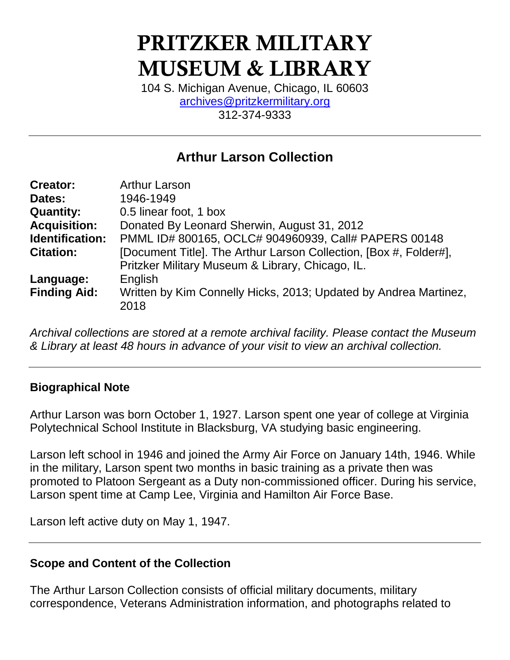# PRITZKER MILITARY MUSEUM & LIBRARY

104 S. Michigan Avenue, Chicago, IL 60603 [archives@pritzkermilitary.org](mailto:archives@pritzkermilitary.org) 312-374-9333

## **Arthur Larson Collection**

| <b>Creator:</b>        | <b>Arthur Larson</b>                                              |
|------------------------|-------------------------------------------------------------------|
| Dates:                 | 1946-1949                                                         |
| <b>Quantity:</b>       | 0.5 linear foot, 1 box                                            |
| <b>Acquisition:</b>    | Donated By Leonard Sherwin, August 31, 2012                       |
| <b>Identification:</b> | PMML ID# 800165, OCLC# 904960939, Call# PAPERS 00148              |
| <b>Citation:</b>       | [Document Title]. The Arthur Larson Collection, [Box #, Folder#], |
|                        | Pritzker Military Museum & Library, Chicago, IL.                  |
| Language:              | English                                                           |
| <b>Finding Aid:</b>    | Written by Kim Connelly Hicks, 2013; Updated by Andrea Martinez,  |
|                        | 2018                                                              |

*Archival collections are stored at a remote archival facility. Please contact the Museum & Library at least 48 hours in advance of your visit to view an archival collection.*

## **Biographical Note**

Arthur Larson was born October 1, 1927. Larson spent one year of college at Virginia Polytechnical School Institute in Blacksburg, VA studying basic engineering.

Larson left school in 1946 and joined the Army Air Force on January 14th, 1946. While in the military, Larson spent two months in basic training as a private then was promoted to Platoon Sergeant as a Duty non-commissioned officer. During his service, Larson spent time at Camp Lee, Virginia and Hamilton Air Force Base.

Larson left active duty on May 1, 1947.

## **Scope and Content of the Collection**

The Arthur Larson Collection consists of official military documents, military correspondence, Veterans Administration information, and photographs related to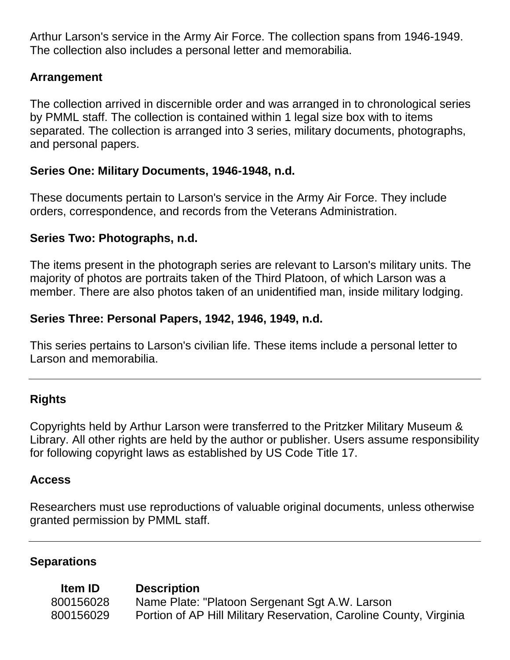Arthur Larson's service in the Army Air Force. The collection spans from 1946-1949. The collection also includes a personal letter and memorabilia.

## **Arrangement**

The collection arrived in discernible order and was arranged in to chronological series by PMML staff. The collection is contained within 1 legal size box with to items separated. The collection is arranged into 3 series, military documents, photographs, and personal papers.

## **Series One: Military Documents, 1946-1948, n.d.**

These documents pertain to Larson's service in the Army Air Force. They include orders, correspondence, and records from the Veterans Administration.

## **Series Two: Photographs, n.d.**

The items present in the photograph series are relevant to Larson's military units. The majority of photos are portraits taken of the Third Platoon, of which Larson was a member. There are also photos taken of an unidentified man, inside military lodging.

## **Series Three: Personal Papers, 1942, 1946, 1949, n.d.**

This series pertains to Larson's civilian life. These items include a personal letter to Larson and memorabilia.

## **Rights**

Copyrights held by Arthur Larson were transferred to the Pritzker Military Museum & Library. All other rights are held by the author or publisher. Users assume responsibility for following copyright laws as established by US Code Title 17.

## **Access**

Researchers must use reproductions of valuable original documents, unless otherwise granted permission by PMML staff.

## **Separations**

**Item ID Description** 800156028 Name Plate: "Platoon Sergenant Sgt A.W. Larson 800156029 Portion of AP Hill Military Reservation, Caroline County, Virginia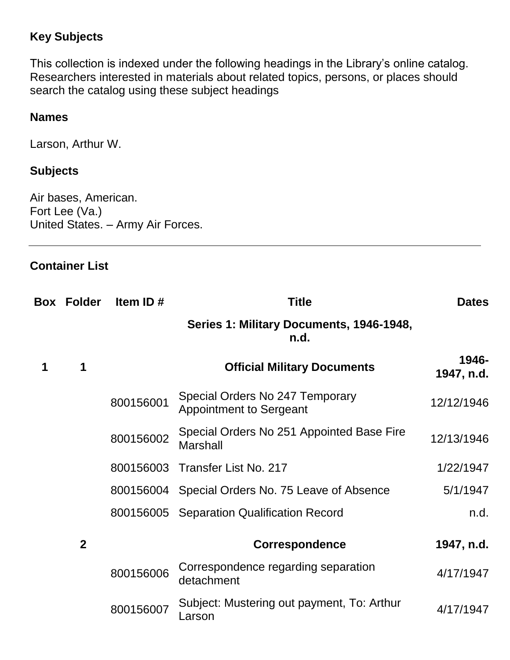## **Key Subjects**

This collection is indexed under the following headings in the Library's online catalog. Researchers interested in materials about related topics, persons, or places should search the catalog using these subject headings

## **Names**

Larson, Arthur W.

## **Subjects**

Air bases, American. Fort Lee (Va.) United States. – Army Air Forces.

## **Container List**

|   | <b>Box Folder</b> | Item ID $#$ | <b>Title</b>                                                      | <b>Dates</b>        |
|---|-------------------|-------------|-------------------------------------------------------------------|---------------------|
|   |                   |             | Series 1: Military Documents, 1946-1948,<br>n.d.                  |                     |
| 1 | 1                 |             | <b>Official Military Documents</b>                                | 1946-<br>1947, n.d. |
|   |                   | 800156001   | Special Orders No 247 Temporary<br><b>Appointment to Sergeant</b> | 12/12/1946          |
|   |                   | 800156002   | Special Orders No 251 Appointed Base Fire<br><b>Marshall</b>      | 12/13/1946          |
|   |                   |             | 800156003 Transfer List No. 217                                   | 1/22/1947           |
|   |                   |             | 800156004 Special Orders No. 75 Leave of Absence                  | 5/1/1947            |
|   |                   |             | 800156005 Separation Qualification Record                         | n.d.                |
|   | $\overline{2}$    |             | <b>Correspondence</b>                                             | 1947, n.d.          |
|   |                   | 800156006   | Correspondence regarding separation<br>detachment                 | 4/17/1947           |
|   |                   | 800156007   | Subject: Mustering out payment, To: Arthur<br>Larson              | 4/17/1947           |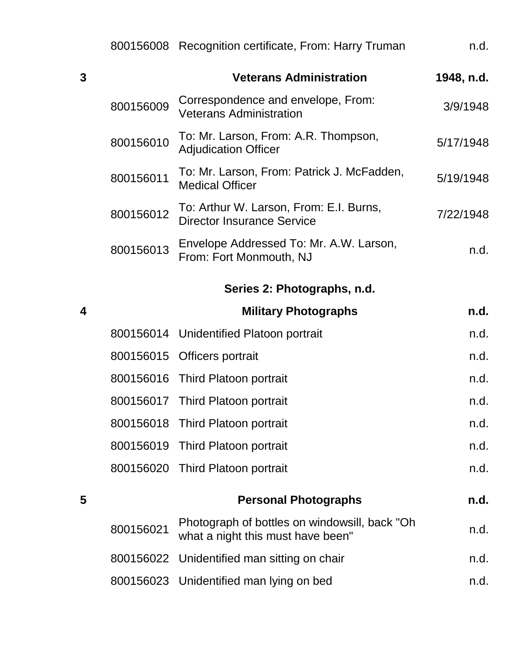|   |           | 800156008 Recognition certificate, From: Harry Truman                              | n.d.       |
|---|-----------|------------------------------------------------------------------------------------|------------|
| 3 |           | <b>Veterans Administration</b>                                                     | 1948, n.d. |
|   | 800156009 | Correspondence and envelope, From:<br><b>Veterans Administration</b>               | 3/9/1948   |
|   | 800156010 | To: Mr. Larson, From: A.R. Thompson,<br><b>Adjudication Officer</b>                | 5/17/1948  |
|   | 800156011 | To: Mr. Larson, From: Patrick J. McFadden,<br><b>Medical Officer</b>               | 5/19/1948  |
|   | 800156012 | To: Arthur W. Larson, From: E.I. Burns,<br><b>Director Insurance Service</b>       | 7/22/1948  |
|   | 800156013 | Envelope Addressed To: Mr. A.W. Larson,<br>From: Fort Monmouth, NJ                 | n.d.       |
|   |           | Series 2: Photographs, n.d.                                                        |            |
| 4 |           | <b>Military Photographs</b>                                                        | n.d.       |
|   |           | 800156014 Unidentified Platoon portrait                                            | n.d.       |
|   | 800156015 | Officers portrait                                                                  | n.d.       |
|   |           | 800156016 Third Platoon portrait                                                   | n.d.       |
|   |           | 800156017 Third Platoon portrait                                                   | n.d.       |
|   |           | 800156018 Third Platoon portrait                                                   | n.d.       |
|   |           | 800156019 Third Platoon portrait                                                   | n.d.       |
|   |           | 800156020 Third Platoon portrait                                                   | n.d.       |
| 5 |           | <b>Personal Photographs</b>                                                        | n.d.       |
|   | 800156021 | Photograph of bottles on windowsill, back "Oh<br>what a night this must have been" | n.d.       |
|   |           | 800156022 Unidentified man sitting on chair                                        | n.d.       |
|   |           | 800156023 Unidentified man lying on bed                                            | n.d.       |